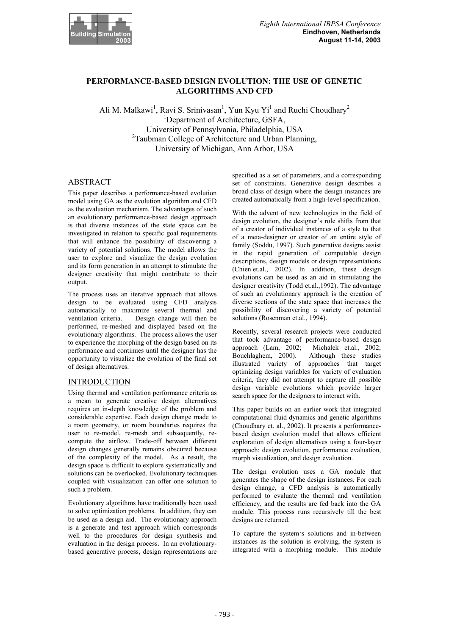

# **PERFORMANCE-BASED DESIGN EVOLUTION: THE USE OF GENETIC ALGORITHMS AND CFD**

Ali M. Malkawi<sup>1</sup>, Ravi S. Srinivasan<sup>1</sup>, Yun Kyu Yi<sup>1</sup> and Ruchi Choudhary<sup>2</sup> <sup>1</sup>Department of Architecture, GSFA, University of Pennsylvania, Philadelphia, USA <sup>2</sup>Taubman College of Architecture and Urban Planning, University of Michigan, Ann Arbor, USA

# ABSTRACT

This paper describes a performance-based evolution model using GA as the evolution algorithm and CFD as the evaluation mechanism. The advantages of such an evolutionary performance-based design approach is that diverse instances of the state space can be investigated in relation to specific goal requirements that will enhance the possibility of discovering a variety of potential solutions. The model allows the user to explore and visualize the design evolution and its form generation in an attempt to stimulate the designer creativity that might contribute to their output.

The process uses an iterative approach that allows design to be evaluated using CFD analysis automatically to maximize several thermal and<br>ventilation criteria. Design change will then be Design change will then be performed, re-meshed and displayed based on the evolutionary algorithms. The process allows the user to experience the morphing of the design based on its performance and continues until the designer has the opportunity to visualize the evolution of the final set of design alternatives.

# INTRODUCTION

Using thermal and ventilation performance criteria as a mean to generate creative design alternatives requires an in-depth knowledge of the problem and considerable expertise. Each design change made to a room geometry, or room boundaries requires the user to re-model, re-mesh and subsequently, recompute the airflow. Trade-off between different design changes generally remains obscured because of the complexity of the model. As a result, the design space is difficult to explore systematically and solutions can be overlooked. Evolutionary techniques coupled with visualization can offer one solution to such a problem.

Evolutionary algorithms have traditionally been used to solve optimization problems. In addition, they can be used as a design aid. The evolutionary approach is a generate and test approach which corresponds well to the procedures for design synthesis and evaluation in the design process. In an evolutionarybased generative process, design representations are

specified as a set of parameters, and a corresponding set of constraints. Generative design describes a broad class of design where the design instances are created automatically from a high-level specification.

With the advent of new technologies in the field of design evolution, the designer's role shifts from that of a creator of individual instances of a style to that of a meta-designer or creator of an entire style of family (Soddu, 1997). Such generative designs assist in the rapid generation of computable design descriptions, design models or design representations (Chien et.al., 2002). In addition, these design evolutions can be used as an aid in stimulating the designer creativity (Todd et.al.,1992). The advantage of such an evolutionary approach is the creation of diverse sections of the state space that increases the possibility of discovering a variety of potential solutions (Rosenman et.al., 1994).

Recently, several research projects were conducted that took advantage of performance-based design approach (Lam, 2002; Michalek et.al., 2002; Bouchlaghem, 2000). Although these studies illustrated variety of approaches that target optimizing design variables for variety of evaluation criteria, they did not attempt to capture all possible design variable evolutions which provide larger search space for the designers to interact with.

This paper builds on an earlier work that integrated computational fluid dynamics and genetic algorithms (Choudhary et. al., 2002). It presents a performancebased design evolution model that allows efficient exploration of design alternatives using a four-layer approach: design evolution, performance evaluation, morph visualization, and design evaluation.

The design evolution uses a GA module that generates the shape of the design instances. For each design change, a CFD analysis is automatically performed to evaluate the thermal and ventilation efficiency, and the results are fed back into the GA module. This process runs recursively till the best designs are returned.

To capture the system's solutions and in-between instances as the solution is evolving, the system is integrated with a morphing module. This module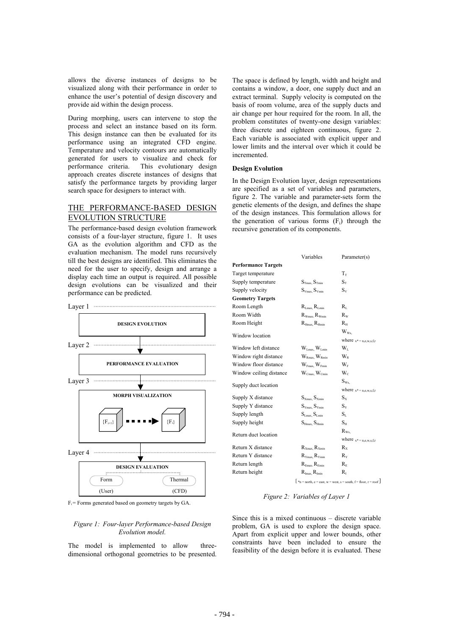allows the diverse instances of designs to be visualized along with their performance in order to enhance the user's potential of design discovery and provide aid within the design process.

During morphing, users can intervene to stop the process and select an instance based on its form. This design instance can then be evaluated for its performance using an integrated CFD engine. Temperature and velocity contours are automatically generated for users to visualize and check for performance criteria. This evolutionary design approach creates discrete instances of designs that satisfy the performance targets by providing larger search space for designers to interact with.

## THE PERFORMANCE-BASED DESIGN EVOLUTION STRUCTURE

The performance-based design evolution framework consists of a four-layer structure, figure 1. It uses GA as the evolution algorithm and CFD as the evaluation mechanism. The model runs recursively till the best designs are identified. This eliminates the need for the user to specify, design and arrange a display each time an output is required. All possible design evolutions can be visualized and their performance can be predicted.



 $F_i$ = Forms generated based on geometry targets by GA.

### *Figure 1: Four-layer Performance-based Design Evolution model.*

The model is implemented to allow threedimensional orthogonal geometries to be presented.

The space is defined by length, width and height and contains a window, a door, one supply duct and an extract terminal. Supply velocity is computed on the basis of room volume, area of the supply ducts and air change per hour required for the room. In all, the problem constitutes of twenty-one design variables: three discrete and eighteen continuous, figure 2. Each variable is associated with explicit upper and lower limits and the interval over which it could be incremented.

## **Design Evolution**

In the Design Evolution layer, design representations are specified as a set of variables and parameters, figure 2. The variable and parameter-sets form the genetic elements of the design, and defines the shape of the design instances. This formulation allows for the generation of various forms  $(F_i)$  through the recursive generation of its components.

|                            | Variables                             | Parameter(s)                                                                                  |
|----------------------------|---------------------------------------|-----------------------------------------------------------------------------------------------|
| <b>Performance Targets</b> |                                       |                                                                                               |
| Target temperature         |                                       | $T_{\rm T}$                                                                                   |
| Supply temperature         | $S_{\text{Trans}} S_{\text{Trmin}}$   | $S_T$                                                                                         |
| Supply velocity            | $S_{Vmax}$ . $S_{Vmin}$               | $S_v$                                                                                         |
| <b>Geometry Targets</b>    |                                       |                                                                                               |
| Room Length                | $R_{Lmax} R_{Lmin}$                   | $R_{\scriptscriptstyle\rm I}$                                                                 |
| Room Width                 | $R_{Wmax}$ , $R_{Wmin}$               | $R_{\rm w}$                                                                                   |
| Room Height                | $R_{Hmax}$ , $R_{Hmin}$               | $R_{\scriptscriptstyle\rm H}$                                                                 |
| Window location            |                                       | $W_{Wx}$                                                                                      |
|                            |                                       | where $x^* = n, e, w, s, f, r$                                                                |
| Window left distance       | $W_{Lmax}$ , $W_{Lmin}$               | $W_{L}$                                                                                       |
| Window right distance      | $W_{Rmax}$ , $W_{Rmin}$               | $W_{R}$                                                                                       |
| Window floor distance      | $W_{Fmax}$ $W_{Fmin}$                 | $W_F$                                                                                         |
| Window ceiling distance    | $W_{Cmax}$ , $W_{Cmin}$               | $W_c$                                                                                         |
| Supply duct location       |                                       | $S_{Wx}$                                                                                      |
|                            |                                       | where $x^* = n,e,w,s,f,r$                                                                     |
| Supply X distance          | $S_{Xmax}$ , $S_{Xmin}$               | $S_{X}$                                                                                       |
| Supply Y distance          | $S_{Ymax}$ , $S_{Ymin}$               | $S_{Y}$                                                                                       |
| Supply length              | $S_{Lmax}$ , $S_{Lmin}$               | $S_{L}$                                                                                       |
| Supply height              | $S_{\text{Hmax}}$ , $S_{\text{Hmin}}$ | $S_{\scriptscriptstyle\rm H}$                                                                 |
| Return duct location       |                                       | $R_{Wx}$                                                                                      |
|                            |                                       | where $x^* = n, e, w, s, f, r$                                                                |
| Return X distance          | $R_{Xmax}$ , $R_{Xmin}$               | $R_{\rm X}$                                                                                   |
| Return Y distance          | $R_{Ymax}$ , $R_{Ymin}$               | $R_{\rm v}$                                                                                   |
| Return length              | $R_{Emax}$ , $R_{Emin}$               | $R_{\rm E}$                                                                                   |
| Return height              | $R_{\text{Imax}}$ , $R_{\text{Imin}}$ | Rı                                                                                            |
|                            |                                       | $\left\lfloor n \right\rfloor$ *n = north, e = east, w = west, s = south, f = floor, r = roof |

### *Figure 2: Variables of Layer 1*

Since this is a mixed continuous – discrete variable problem, GA is used to explore the design space. Apart from explicit upper and lower bounds, other constraints have been included to ensure the feasibility of the design before it is evaluated. These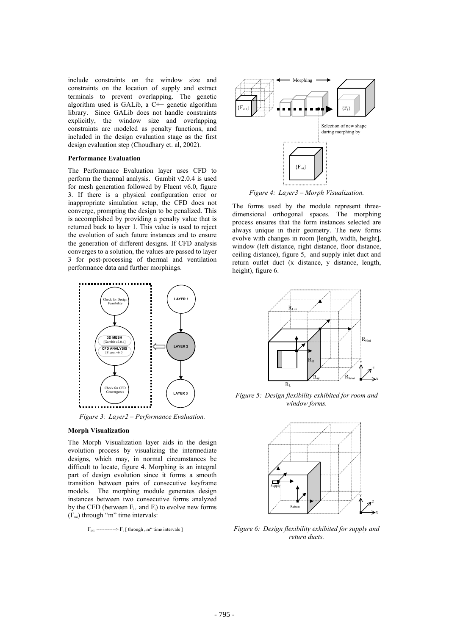include constraints on the window size and  $\mathcal{A}$   $\longrightarrow$  Morphing constraints on the location of supply and extract terminals to prevent overlapping. The genetic algorithm used is GALib, a  $C++$  genetic algorithm library. Since GALib does not handle constraints explicitly, the window size and overlapping constraints are modeled as penalty functions, and included in the design evaluation stage as the first design evaluation step (Choudhary et. al, 2002).

#### **Performance Evaluation**

The Performance Evaluation layer uses CFD to perform the thermal analysis. Gambit v2.0.4 is used for mesh generation followed by Fluent v6.0, figure 3. If there is a physical configuration error or inappropriate simulation setup, the CFD does not converge, prompting the design to be penalized. This is accomplished by providing a penalty value that is returned back to layer 1. This value is used to reject the evolution of such future instances and to ensure the generation of different designs. If CFD analysis converges to a solution, the values are passed to layer 3 for post-processing of thermal and ventilation performance data and further morphings.



*Figure 3: Layer2 – Performance Evaluation.*

#### **Morph Visualization**

The Morph Visualization layer aids in the design evolution process by visualizing the intermediate designs, which may, in normal circumstances be difficult to locate, figure 4. Morphing is an integral part of design evolution since it forms a smooth transition between pairs of consecutive keyframe models. The morphing module generates design instances between two consecutive forms analyzed by the CFD (between  $F_{i+1}$  and  $F_i$ ) to evolve new forms  $(F<sub>mi</sub>)$  through "m" time intervals:

```
F_{i+1} ------------> F_i [ through ,,m<sup>**</sup> time intervals ]
```


*Figure 4: Layer3 – Morph Visualization.*

The forms used by the module represent threedimensional orthogonal spaces. The morphing process ensures that the form instances selected are always unique in their geometry. The new forms evolve with changes in room [length, width, height], window (left distance, right distance, floor distance, ceiling distance), figure 5, and supply inlet duct and return outlet duct (x distance, y distance, length, height), figure 6.



*Figure 5: Design flexibility exhibited for room and window forms.*



*Figure 6: Design flexibility exhibited for supply and return ducts.*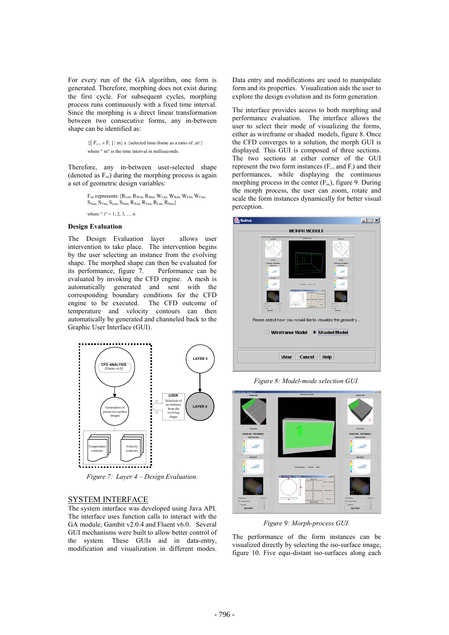For every run of the GA algorithm, one form is generated. Therefore, morphing does not exist during the first cycle. For subsequent cycles, morphing process runs continuously with a fixed time interval. Since the morphing is a direct linear transformation between two consecutive forms, any in-between shape can be identified as:

> $\{[ F_{i+1} \pm F_i ] / m\}$  x {selected time-frame as a ratio of ,m'} where " m" is the time interval in milliseconds.

Therefore, any in-between user-selected shape (denoted as  $F<sub>mi</sub>$ ) during the morphing process is again a set of geometric design variables:

$$
\begin{aligned} &F_{mi}\text{ represents }\{R_{Lmi},R_{Wmi},R_{Hmi},W_{Lmi},W_{Fmi},W_{Fmi},W_{Cmi},\\ &S_{Xmi},S_{Ymi},S_{Lmi},S_{Hmi},R_{Xmi},R_{Ymi},R_{Lmi},R_{Hmi}\}\\ &\text{where ``i''=1,2,3,...,n}\end{aligned}
$$

## **Design Evaluation**

The Design Evaluation layer allows user intervention to take place. The intervention begins by the user selecting an instance from the evolving shape. The morphed shape can then be evaluated for its performance, figure 7. Performance can be evaluated by invoking the CFD engine. A mesh is automatically generated and sent with the corresponding boundary conditions for the CFD engine to be executed. The CFD outcome of temperature and velocity contours can then automatically be generated and channeled back to the Graphic User Interface (GUI).



*Figure 7: Layer 4 – Design Evaluation.*

## SYSTEM INTERFACE

The system interface was developed using Java API. The interface uses function calls to interact with the GA module, Gambit v2.0.4 and Fluent v6.0. Several GUI mechanisms were built to allow better control of the system. These GUIs aid in data-entry, modification and visualization in different modes.

Data entry and modifications are used to manipulate form and its properties. Visualization aids the user to explore the design evolution and its form generation.

The interface provides access to both morphing and performance evaluation. The interface allows the user to select their mode of visualizing the forms, either as wireframe or shaded models, figure 8. Once the CFD converges to a solution, the morph GUI is displayed. This GUI is composed of three sections. The two sections at either corner of the GUI represent the two form instances  $(F_{i+1}$  and  $F_i$ ) and their performances, while displaying the continuous morphing process in the center  $(F<sub>mi</sub>)$ , figure 9. During the morph process, the user can zoom, rotate and scale the form instances dynamically for better visual perception.



*Figure 8: Model-mode selection GUI.*



*Figure 9: Morph-process GUI.* 

The performance of the form instances can be visualized directly by selecting the iso-surface image, figure 10. Five equi-distant iso-surfaces along each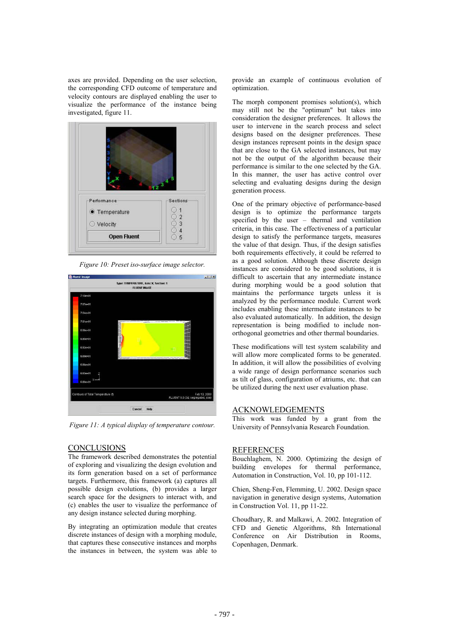axes are provided. Depending on the user selection, the corresponding CFD outcome of temperature and velocity contours are displayed enabling the user to visualize the performance of the instance being investigated, figure 11.



*Figure 10: Preset iso-surface image selector.* 



*Figure 11: A typical display of temperature contour.*

## CONCLUSIONS

The framework described demonstrates the potential of exploring and visualizing the design evolution and its form generation based on a set of performance targets. Furthermore, this framework (a) captures all possible design evolutions, (b) provides a larger search space for the designers to interact with, and (c) enables the user to visualize the performance of any design instance selected during morphing.

By integrating an optimization module that creates discrete instances of design with a morphing module, that captures these consecutive instances and morphs the instances in between, the system was able to

provide an example of continuous evolution of optimization.

The morph component promises solution(s), which may still not be the "optimum" but takes into consideration the designer preferences. It allows the user to intervene in the search process and select designs based on the designer preferences. These design instances represent points in the design space that are close to the GA selected instances, but may not be the output of the algorithm because their performance is similar to the one selected by the GA. In this manner, the user has active control over selecting and evaluating designs during the design generation process.

One of the primary objective of performance-based design is to optimize the performance targets specified by the user – thermal and ventilation criteria, in this case. The effectiveness of a particular design to satisfy the performance targets, measures the value of that design. Thus, if the design satisfies both requirements effectively, it could be referred to as a good solution. Although these discrete design instances are considered to be good solutions, it is difficult to ascertain that any intermediate instance during morphing would be a good solution that maintains the performance targets unless it is analyzed by the performance module. Current work includes enabling these intermediate instances to be also evaluated automatically. In addition, the design representation is being modified to include nonorthogonal geometries and other thermal boundaries.

These modifications will test system scalability and will allow more complicated forms to be generated. In addition, it will allow the possibilities of evolving a wide range of design performance scenarios such as tilt of glass, configuration of atriums, etc. that can be utilized during the next user evaluation phase.

## ACKNOWLEDGEMENTS

This work was funded by a grant from the University of Pennsylvania Research Foundation.

### REFERENCES

Bouchlaghem, N. 2000. Optimizing the design of building envelopes for thermal performance, Automation in Construction, Vol. 10, pp 101-112.

Chien, Sheng-Fen, Flemming, U. 2002. Design space navigation in generative design systems, Automation in Construction Vol. 11, pp 11-22.

Choudhary, R. and Malkawi, A. 2002. Integration of CFD and Genetic Algorithms, 8th International Conference on Air Distribution in Rooms, Copenhagen, Denmark.